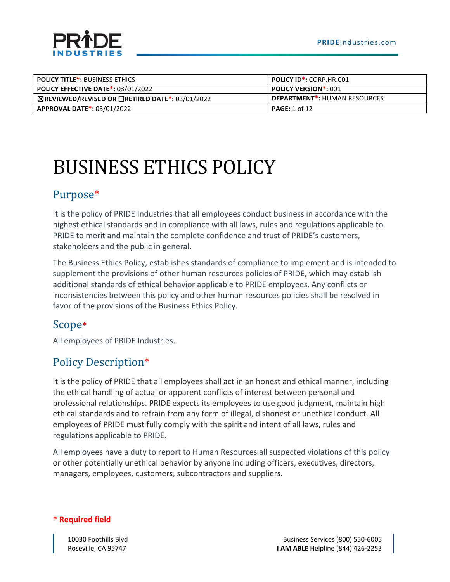



| <b>POLICY TITLE*: BUSINESS ETHICS</b>                            | <b>POLICY ID*: CORP.HR.001</b>      |
|------------------------------------------------------------------|-------------------------------------|
| <b>POLICY EFFECTIVE DATE*: 03/01/2022</b>                        | <b>POLICY VERSION*: 001</b>         |
| $\boxtimes$ REVIEWED/REVISED OR $\Box$ RETIRED DATE*: 03/01/2022 | <b>DEPARTMENT*: HUMAN RESOURCES</b> |
| <b>APPROVAL DATE*: 03/01/2022</b>                                | <b>PAGE:</b> 1 of 12                |

# BUSINESS ETHICS POLICY

# Purpose\*

It is the policy of PRIDE Industries that all employees conduct business in accordance with the highest ethical standards and in compliance with all laws, rules and regulations applicable to PRIDE to merit and maintain the complete confidence and trust of PRIDE's customers, stakeholders and the public in general.

The Business Ethics Policy, establishes standards of compliance to implement and is intended to supplement the provisions of other human resources policies of PRIDE, which may establish additional standards of ethical behavior applicable to PRIDE employees. Any conflicts or inconsistencies between this policy and other human resources policies shall be resolved in favor of the provisions of the Business Ethics Policy.

# Scope**\***

All employees of PRIDE Industries.

# Policy Description\*

It is the policy of PRIDE that all employees shall act in an honest and ethical manner, including the ethical handling of actual or apparent conflicts of interest between personal and professional relationships. PRIDE expects its employees to use good judgment, maintain high ethical standards and to refrain from any form of illegal, dishonest or unethical conduct. All employees of PRIDE must fully comply with the spirit and intent of all laws, rules and regulations applicable to PRIDE.

All employees have a duty to report to Human Resources all suspected violations of this policy or other potentially unethical behavior by anyone including officers, executives, directors, managers, employees, customers, subcontractors and suppliers.

#### **\* Required field**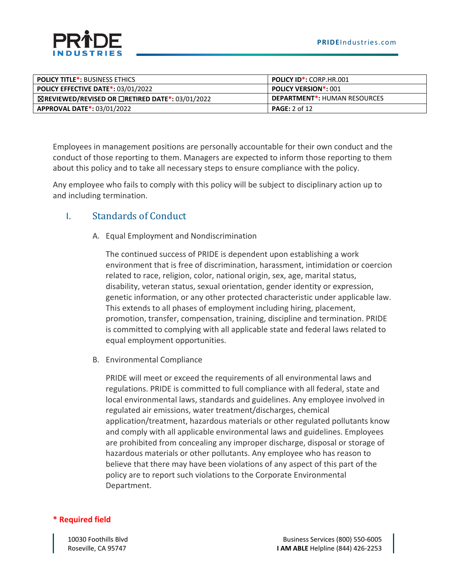

| <b>POLICY TITLE*: BUSINESS ETHICS</b>                            | <b>POLICY ID*: CORP.HR.001</b>      |
|------------------------------------------------------------------|-------------------------------------|
| <b>POLICY EFFECTIVE DATE*: 03/01/2022</b>                        | <b>POLICY VERSION*: 001</b>         |
| $\boxtimes$ REVIEWED/REVISED OR $\Box$ RETIRED DATE*: 03/01/2022 | <b>DEPARTMENT*: HUMAN RESOURCES</b> |
| <b>APPROVAL DATE*: 03/01/2022</b>                                | <b>PAGE:</b> 2 of 12                |

Employees in management positions are personally accountable for their own conduct and the conduct of those reporting to them. Managers are expected to inform those reporting to them about this policy and to take all necessary steps to ensure compliance with the policy.

Any employee who fails to comply with this policy will be subject to disciplinary action up to and including termination.

### I. Standards of Conduct

A. Equal Employment and Nondiscrimination

The continued success of PRIDE is dependent upon establishing a work environment that is free of discrimination, harassment, intimidation or coercion related to race, religion, color, national origin, sex, age, marital status, disability, veteran status, sexual orientation, gender identity or expression, genetic information, or any other protected characteristic under applicable law. This extends to all phases of employment including hiring, placement, promotion, transfer, compensation, training, discipline and termination. PRIDE is committed to complying with all applicable state and federal laws related to equal employment opportunities.

B. Environmental Compliance

PRIDE will meet or exceed the requirements of all environmental laws and regulations. PRIDE is committed to full compliance with all federal, state and local environmental laws, standards and guidelines. Any employee involved in regulated air emissions, water treatment/discharges, chemical application/treatment, hazardous materials or other regulated pollutants know and comply with all applicable environmental laws and guidelines. Employees are prohibited from concealing any improper discharge, disposal or storage of hazardous materials or other pollutants. Any employee who has reason to believe that there may have been violations of any aspect of this part of the policy are to report such violations to the Corporate Environmental Department.

#### **\* Required field**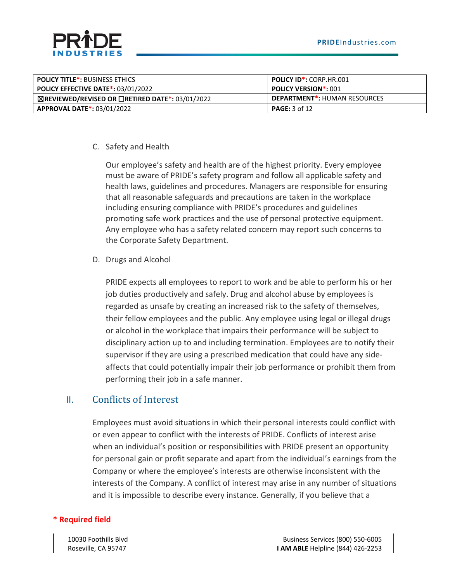

| <b>POLICY TITLE*: BUSINESS ETHICS</b>                            | <b>POLICY ID*: CORP.HR.001</b>      |
|------------------------------------------------------------------|-------------------------------------|
| <b>POLICY EFFECTIVE DATE*: 03/01/2022</b>                        | <b>POLICY VERSION*: 001</b>         |
| $\boxtimes$ REVIEWED/REVISED OR $\Box$ RETIRED DATE*: 03/01/2022 | <b>DEPARTMENT*: HUMAN RESOURCES</b> |
| <b>APPROVAL DATE*: 03/01/2022</b>                                | <b>PAGE:</b> 3 of 12                |

#### C. Safety and Health

Our employee's safety and health are of the highest priority. Every employee must be aware of PRIDE's safety program and follow all applicable safety and health laws, guidelines and procedures. Managers are responsible for ensuring that all reasonable safeguards and precautions are taken in the workplace including ensuring compliance with PRIDE's procedures and guidelines promoting safe work practices and the use of personal protective equipment. Any employee who has a safety related concern may report such concerns to the Corporate Safety Department.

D. Drugs and Alcohol

PRIDE expects all employees to report to work and be able to perform his or her job duties productively and safely. Drug and alcohol abuse by employees is regarded as unsafe by creating an increased risk to the safety of themselves, their fellow employees and the public. Any employee using legal or illegal drugs or alcohol in the workplace that impairs their performance will be subject to disciplinary action up to and including termination. Employees are to notify their supervisor if they are using a prescribed medication that could have any sideaffects that could potentially impair their job performance or prohibit them from performing their job in a safe manner.

### II. Conflicts of Interest

Employees must avoid situations in which their personal interests could conflict with or even appear to conflict with the interests of PRIDE. Conflicts of interest arise when an individual's position or responsibilities with PRIDE present an opportunity for personal gain or profit separate and apart from the individual's earnings from the Company or where the employee's interests are otherwise inconsistent with the interests of the Company. A conflict of interest may arise in any number of situations and it is impossible to describe every instance. Generally, if you believe that a

#### **\* Required field**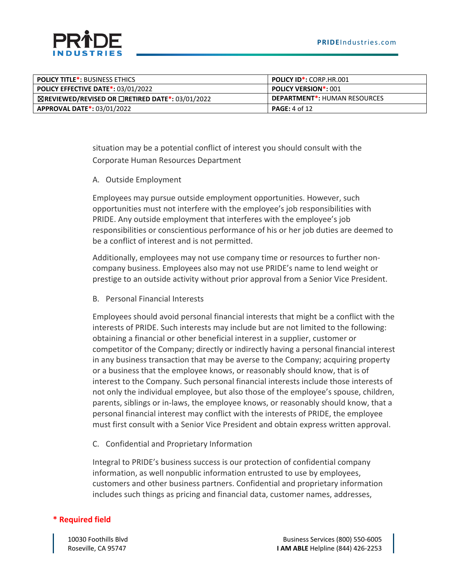

| <b>POLICY TITLE*: BUSINESS ETHICS</b>                            | <b>POLICY ID*: CORP.HR.001</b>      |
|------------------------------------------------------------------|-------------------------------------|
| <b>POLICY EFFECTIVE DATE*: 03/01/2022</b>                        | <b>POLICY VERSION*: 001</b>         |
| $\boxtimes$ REVIEWED/REVISED OR $\Box$ RETIRED DATE*: 03/01/2022 | <b>DEPARTMENT*: HUMAN RESOURCES</b> |
| <b>APPROVAL DATE*: 03/01/2022</b>                                | <b>PAGE:</b> 4 of 12                |

situation may be a potential conflict of interest you should consult with the Corporate Human Resources Department

#### A. Outside Employment

Employees may pursue outside employment opportunities. However, such opportunities must not interfere with the employee's job responsibilities with PRIDE. Any outside employment that interferes with the employee's job responsibilities or conscientious performance of his or her job duties are deemed to be a conflict of interest and is not permitted.

Additionally, employees may not use company time or resources to further noncompany business. Employees also may not use PRIDE's name to lend weight or prestige to an outside activity without prior approval from a Senior Vice President.

B. Personal Financial Interests

Employees should avoid personal financial interests that might be a conflict with the interests of PRIDE. Such interests may include but are not limited to the following: obtaining a financial or other beneficial interest in a supplier, customer or competitor of the Company; directly or indirectly having a personal financial interest in any business transaction that may be averse to the Company; acquiring property or a business that the employee knows, or reasonably should know, that is of interest to the Company. Such personal financial interests include those interests of not only the individual employee, but also those of the employee's spouse, children, parents, siblings or in-laws, the employee knows, or reasonably should know, that a personal financial interest may conflict with the interests of PRIDE, the employee must first consult with a Senior Vice President and obtain express written approval.

C. Confidential and Proprietary Information

Integral to PRIDE's business success is our protection of confidential company information, as well nonpublic information entrusted to use by employees, customers and other business partners. Confidential and proprietary information includes such things as pricing and financial data, customer names, addresses,

#### **\* Required field**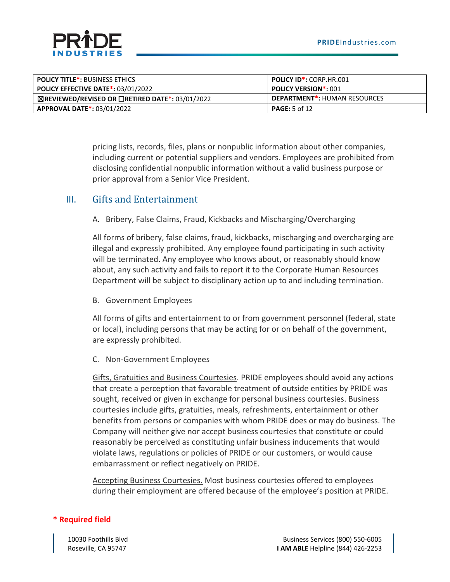

| <b>POLICY TITLE*: BUSINESS ETHICS</b>                            | <b>POLICY ID*: CORP.HR.001</b>      |
|------------------------------------------------------------------|-------------------------------------|
| <b>POLICY EFFECTIVE DATE*: 03/01/2022</b>                        | <b>POLICY VERSION*: 001</b>         |
| $\boxtimes$ REVIEWED/REVISED OR $\Box$ RETIRED DATE*: 03/01/2022 | <b>DEPARTMENT*: HUMAN RESOURCES</b> |
| <b>APPROVAL DATE*: 03/01/2022</b>                                | <b>PAGE:</b> 5 of 12                |

pricing lists, records, files, plans or nonpublic information about other companies, including current or potential suppliers and vendors. Employees are prohibited from disclosing confidential nonpublic information without a valid business purpose or prior approval from a Senior Vice President.

#### III. Gifts and Entertainment

A. Bribery, False Claims, Fraud, Kickbacks and Mischarging/Overcharging

All forms of bribery, false claims, fraud, kickbacks, mischarging and overcharging are illegal and expressly prohibited. Any employee found participating in such activity will be terminated. Any employee who knows about, or reasonably should know about, any such activity and fails to report it to the Corporate Human Resources Department will be subject to disciplinary action up to and including termination.

B. Government Employees

All forms of gifts and entertainment to or from government personnel (federal, state or local), including persons that may be acting for or on behalf of the government, are expressly prohibited.

C. Non-Government Employees

Gifts, Gratuities and Business Courtesies. PRIDE employees should avoid any actions that create a perception that favorable treatment of outside entities by PRIDE was sought, received or given in exchange for personal business courtesies. Business courtesies include gifts, gratuities, meals, refreshments, entertainment or other benefits from persons or companies with whom PRIDE does or may do business. The Company will neither give nor accept business courtesies that constitute or could reasonably be perceived as constituting unfair business inducements that would violate laws, regulations or policies of PRIDE or our customers, or would cause embarrassment or reflect negatively on PRIDE.

Accepting Business Courtesies. Most business courtesies offered to employees during their employment are offered because of the employee's position at PRIDE.

#### **\* Required field**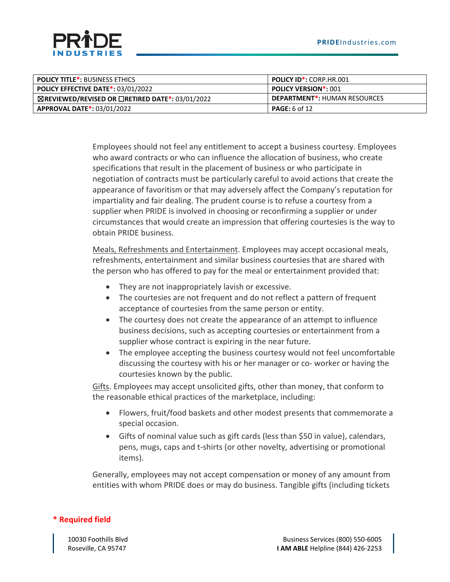

| <b>POLICY TITLE*: BUSINESS ETHICS</b>                            | <b>POLICY ID*: CORP.HR.001</b>      |
|------------------------------------------------------------------|-------------------------------------|
| <b>POLICY EFFECTIVE DATE*: 03/01/2022</b>                        | <b>POLICY VERSION*: 001</b>         |
| $\boxtimes$ REVIEWED/REVISED OR $\Box$ RETIRED DATE*: 03/01/2022 | <b>DEPARTMENT*: HUMAN RESOURCES</b> |
| <b>APPROVAL DATE*: 03/01/2022</b>                                | <b>PAGE:</b> 6 of 12                |

Employees should not feel any entitlement to accept a business courtesy. Employees who award contracts or who can influence the allocation of business, who create specifications that result in the placement of business or who participate in negotiation of contracts must be particularly careful to avoid actions that create the appearance of favoritism or that may adversely affect the Company's reputation for impartiality and fair dealing. The prudent course is to refuse a courtesy from a supplier when PRIDE is involved in choosing or reconfirming a supplier or under circumstances that would create an impression that offering courtesies is the way to obtain PRIDE business.

Meals, Refreshments and Entertainment. Employees may accept occasional meals, refreshments, entertainment and similar business courtesies that are shared with the person who has offered to pay for the meal or entertainment provided that:

- They are not inappropriately lavish or excessive.
- The courtesies are not frequent and do not reflect a pattern of frequent acceptance of courtesies from the same person or entity.
- The courtesy does not create the appearance of an attempt to influence business decisions, such as accepting courtesies or entertainment from a supplier whose contract is expiring in the near future.
- The employee accepting the business courtesy would not feel uncomfortable discussing the courtesy with his or her manager or co- worker or having the courtesies known by the public.

Gifts. Employees may accept unsolicited gifts, other than money, that conform to the reasonable ethical practices of the marketplace, including:

- Flowers, fruit/food baskets and other modest presents that commemorate a special occasion.
- Gifts of nominal value such as gift cards (less than \$50 in value), calendars, pens, mugs, caps and t-shirts (or other novelty, advertising or promotional items).

Generally, employees may not accept compensation or money of any amount from entities with whom PRIDE does or may do business. Tangible gifts (including tickets

#### **\* Required field**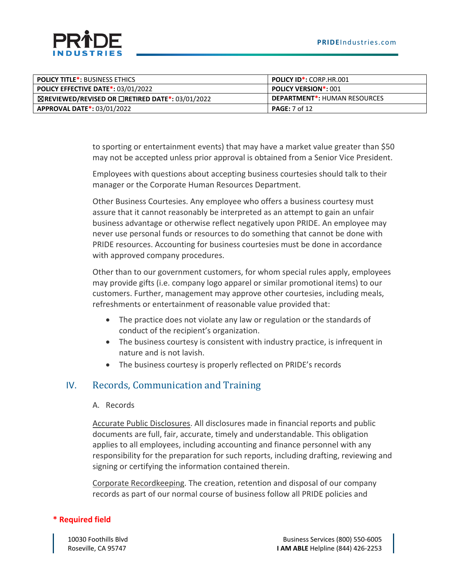

| <b>POLICY TITLE*: BUSINESS ETHICS</b>                            | <b>POLICY ID*: CORP.HR.001</b>      |
|------------------------------------------------------------------|-------------------------------------|
| <b>POLICY EFFECTIVE DATE*: 03/01/2022</b>                        | <b>POLICY VERSION*: 001</b>         |
| $\boxtimes$ REVIEWED/REVISED OR $\Box$ RETIRED DATE*: 03/01/2022 | <b>DEPARTMENT*: HUMAN RESOURCES</b> |
| <b>APPROVAL DATE*: 03/01/2022</b>                                | <b>PAGE:</b> 7 of 12                |

to sporting or entertainment events) that may have a market value greater than \$50 may not be accepted unless prior approval is obtained from a Senior Vice President.

Employees with questions about accepting business courtesies should talk to their manager or the Corporate Human Resources Department.

Other Business Courtesies. Any employee who offers a business courtesy must assure that it cannot reasonably be interpreted as an attempt to gain an unfair business advantage or otherwise reflect negatively upon PRIDE. An employee may never use personal funds or resources to do something that cannot be done with PRIDE resources. Accounting for business courtesies must be done in accordance with approved company procedures.

Other than to our government customers, for whom special rules apply, employees may provide gifts (i.e. company logo apparel or similar promotional items) to our customers. Further, management may approve other courtesies, including meals, refreshments or entertainment of reasonable value provided that:

- The practice does not violate any law or regulation or the standards of conduct of the recipient's organization.
- The business courtesy is consistent with industry practice, is infrequent in nature and is not lavish.
- The business courtesy is properly reflected on PRIDE's records

### IV. Records, Communication and Training

#### A. Records

Accurate Public Disclosures. All disclosures made in financial reports and public documents are full, fair, accurate, timely and understandable. This obligation applies to all employees, including accounting and finance personnel with any responsibility for the preparation for such reports, including drafting, reviewing and signing or certifying the information contained therein.

Corporate Recordkeeping. The creation, retention and disposal of our company records as part of our normal course of business follow all PRIDE policies and

#### **\* Required field**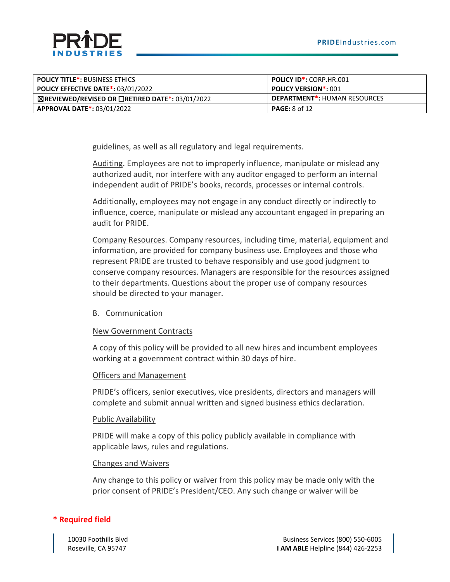

| <b>POLICY TITLE*: BUSINESS ETHICS</b>                            | <b>POLICY ID*: CORP.HR.001</b>      |
|------------------------------------------------------------------|-------------------------------------|
| <b>POLICY EFFECTIVE DATE*: 03/01/2022</b>                        | <b>POLICY VERSION*: 001</b>         |
| $\boxtimes$ REVIEWED/REVISED OR $\Box$ RETIRED DATE*: 03/01/2022 | <b>DEPARTMENT*: HUMAN RESOURCES</b> |
| <b>APPROVAL DATE*: 03/01/2022</b>                                | <b>PAGE:</b> 8 of 12                |

guidelines, as well as all regulatory and legal requirements.

Auditing. Employees are not to improperly influence, manipulate or mislead any authorized audit, nor interfere with any auditor engaged to perform an internal independent audit of PRIDE's books, records, processes or internal controls.

Additionally, employees may not engage in any conduct directly or indirectly to influence, coerce, manipulate or mislead any accountant engaged in preparing an audit for PRIDE.

Company Resources. Company resources, including time, material, equipment and information, are provided for company business use. Employees and those who represent PRIDE are trusted to behave responsibly and use good judgment to conserve company resources. Managers are responsible for the resources assigned to their departments. Questions about the proper use of company resources should be directed to your manager.

B. Communication

#### New Government Contracts

A copy of this policy will be provided to all new hires and incumbent employees working at a government contract within 30 days of hire.

#### Officers and Management

PRIDE's officers, senior executives, vice presidents, directors and managers will complete and submit annual written and signed business ethics declaration.

#### Public Availability

PRIDE will make a copy of this policy publicly available in compliance with applicable laws, rules and regulations.

#### Changes and Waivers

Any change to this policy or waiver from this policy may be made only with the prior consent of PRIDE's President/CEO. Any such change or waiver will be

#### **\* Required field**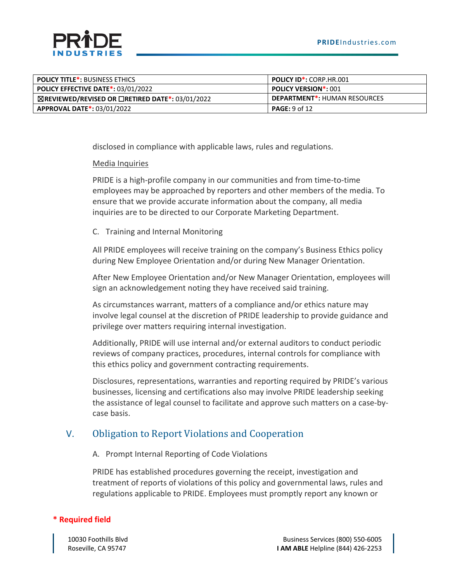

| <b>POLICY TITLE*: BUSINESS ETHICS</b>                            | <b>POLICY ID*: CORP.HR.001</b>      |
|------------------------------------------------------------------|-------------------------------------|
| <b>POLICY EFFECTIVE DATE*: 03/01/2022</b>                        | <b>POLICY VERSION*: 001</b>         |
| $\boxtimes$ REVIEWED/REVISED OR $\Box$ RETIRED DATE*: 03/01/2022 | <b>DEPARTMENT*: HUMAN RESOURCES</b> |
| <b>APPROVAL DATE*: 03/01/2022</b>                                | <b>PAGE:</b> 9 of 12                |

disclosed in compliance with applicable laws, rules and regulations.

#### Media Inquiries

PRIDE is a high-profile company in our communities and from time-to-time employees may be approached by reporters and other members of the media. To ensure that we provide accurate information about the company, all media inquiries are to be directed to our Corporate Marketing Department.

C. Training and Internal Monitoring

All PRIDE employees will receive training on the company's Business Ethics policy during New Employee Orientation and/or during New Manager Orientation.

After New Employee Orientation and/or New Manager Orientation, employees will sign an acknowledgement noting they have received said training.

As circumstances warrant, matters of a compliance and/or ethics nature may involve legal counsel at the discretion of PRIDE leadership to provide guidance and privilege over matters requiring internal investigation.

Additionally, PRIDE will use internal and/or external auditors to conduct periodic reviews of company practices, procedures, internal controls for compliance with this ethics policy and government contracting requirements.

Disclosures, representations, warranties and reporting required by PRIDE's various businesses, licensing and certifications also may involve PRIDE leadership seeking the assistance of legal counsel to facilitate and approve such matters on a case-bycase basis.

### V. Obligation to Report Violations and Cooperation

A. Prompt Internal Reporting of Code Violations

PRIDE has established procedures governing the receipt, investigation and treatment of reports of violations of this policy and governmental laws, rules and regulations applicable to PRIDE. Employees must promptly report any known or

#### **\* Required field**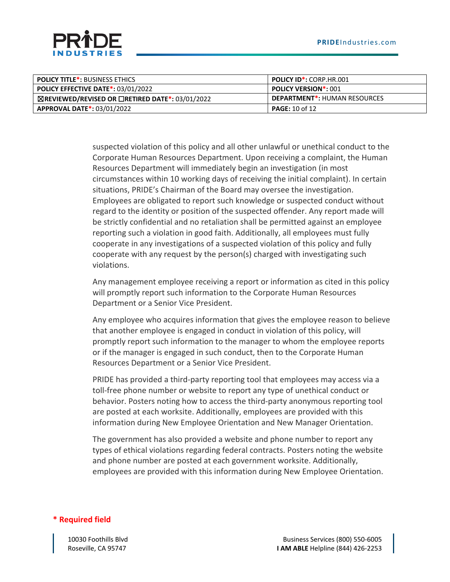

| <b>POLICY TITLE*: BUSINESS ETHICS</b>                            | <b>POLICY ID*: CORP.HR.001</b>      |
|------------------------------------------------------------------|-------------------------------------|
| <b>POLICY EFFECTIVE DATE*: 03/01/2022</b>                        | <b>POLICY VERSION*: 001</b>         |
| $\boxtimes$ REVIEWED/REVISED OR $\Box$ RETIRED DATE*: 03/01/2022 | <b>DEPARTMENT*: HUMAN RESOURCES</b> |
| <b>APPROVAL DATE*: 03/01/2022</b>                                | <b>PAGE:</b> 10 of 12               |

suspected violation of this policy and all other unlawful or unethical conduct to the Corporate Human Resources Department. Upon receiving a complaint, the Human Resources Department will immediately begin an investigation (in most circumstances within 10 working days of receiving the initial complaint). In certain situations, PRIDE's Chairman of the Board may oversee the investigation. Employees are obligated to report such knowledge or suspected conduct without regard to the identity or position of the suspected offender. Any report made will be strictly confidential and no retaliation shall be permitted against an employee reporting such a violation in good faith. Additionally, all employees must fully cooperate in any investigations of a suspected violation of this policy and fully cooperate with any request by the person(s) charged with investigating such violations.

Any management employee receiving a report or information as cited in this policy will promptly report such information to the Corporate Human Resources Department or a Senior Vice President.

Any employee who acquires information that gives the employee reason to believe that another employee is engaged in conduct in violation of this policy, will promptly report such information to the manager to whom the employee reports or if the manager is engaged in such conduct, then to the Corporate Human Resources Department or a Senior Vice President.

PRIDE has provided a third-party reporting tool that employees may access via a toll-free phone number or website to report any type of unethical conduct or behavior. Posters noting how to access the third-party anonymous reporting tool are posted at each worksite. Additionally, employees are provided with this information during New Employee Orientation and New Manager Orientation.

The government has also provided a website and phone number to report any types of ethical violations regarding federal contracts. Posters noting the website and phone number are posted at each government worksite. Additionally, employees are provided with this information during New Employee Orientation.

#### **\* Required field**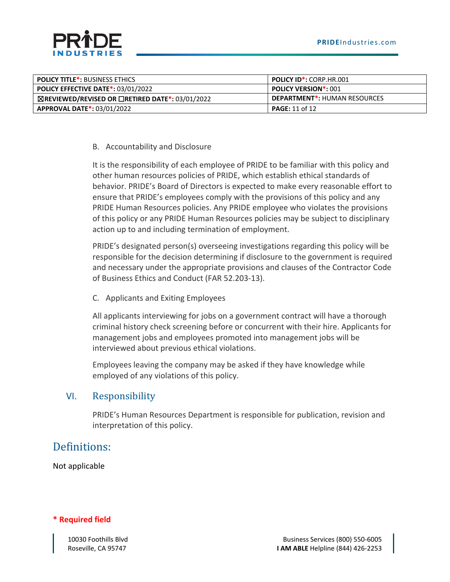

| <b>POLICY TITLE*: BUSINESS ETHICS</b>                            | <b>POLICY ID*: CORP.HR.001</b>      |
|------------------------------------------------------------------|-------------------------------------|
| <b>POLICY EFFECTIVE DATE*: 03/01/2022</b>                        | <b>POLICY VERSION*: 001</b>         |
| $\boxtimes$ REVIEWED/REVISED OR $\Box$ RETIRED DATE*: 03/01/2022 | <b>DEPARTMENT*: HUMAN RESOURCES</b> |
| <b>APPROVAL DATE*: 03/01/2022</b>                                | <b>PAGE:</b> 11 of 12               |

#### B. Accountability and Disclosure

It is the responsibility of each employee of PRIDE to be familiar with this policy and other human resources policies of PRIDE, which establish ethical standards of behavior. PRIDE's Board of Directors is expected to make every reasonable effort to ensure that PRIDE's employees comply with the provisions of this policy and any PRIDE Human Resources policies. Any PRIDE employee who violates the provisions of this policy or any PRIDE Human Resources policies may be subject to disciplinary action up to and including termination of employment.

PRIDE's designated person(s) overseeing investigations regarding this policy will be responsible for the decision determining if disclosure to the government is required and necessary under the appropriate provisions and clauses of the Contractor Code of Business Ethics and Conduct (FAR 52.203-13).

C. Applicants and Exiting Employees

All applicants interviewing for jobs on a government contract will have a thorough criminal history check screening before or concurrent with their hire. Applicants for management jobs and employees promoted into management jobs will be interviewed about previous ethical violations.

Employees leaving the company may be asked if they have knowledge while employed of any violations of this policy.

#### VI. Responsibility

PRIDE's Human Resources Department is responsible for publication, revision and interpretation of this policy.

### Definitions:

Not applicable

#### **\* Required field**